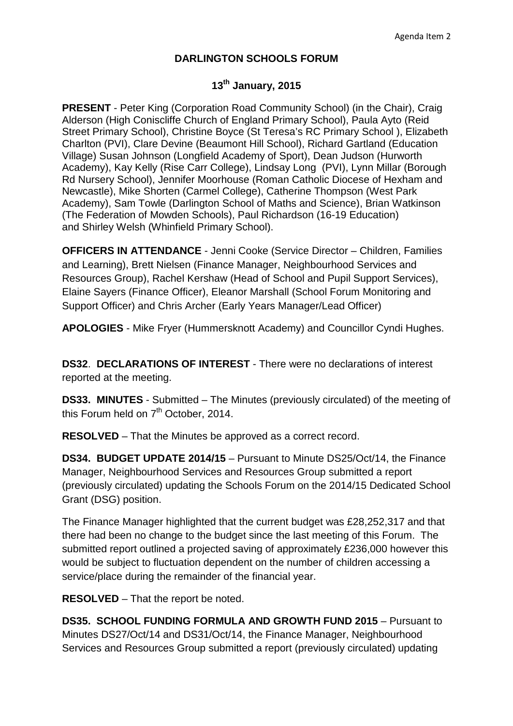## **DARLINGTON SCHOOLS FORUM**

## **13th January, 2015**

**PRESENT** - Peter King (Corporation Road Community School) (in the Chair), Craig Alderson (High Coniscliffe Church of England Primary School), Paula Ayto (Reid Street Primary School), Christine Boyce (St Teresa's RC Primary School ), Elizabeth Charlton (PVI), Clare Devine (Beaumont Hill School), Richard Gartland (Education Village) Susan Johnson (Longfield Academy of Sport), Dean Judson (Hurworth Academy), Kay Kelly (Rise Carr College), Lindsay Long (PVI), Lynn Millar (Borough Rd Nursery School), Jennifer Moorhouse (Roman Catholic Diocese of Hexham and Newcastle), Mike Shorten (Carmel College), Catherine Thompson (West Park Academy), Sam Towle (Darlington School of Maths and Science), Brian Watkinson (The Federation of Mowden Schools), Paul Richardson (16-19 Education) and Shirley Welsh (Whinfield Primary School).

**OFFICERS IN ATTENDANCE** - Jenni Cooke (Service Director – Children, Families and Learning), Brett Nielsen (Finance Manager, Neighbourhood Services and Resources Group), Rachel Kershaw (Head of School and Pupil Support Services), Elaine Sayers (Finance Officer), Eleanor Marshall (School Forum Monitoring and Support Officer) and Chris Archer (Early Years Manager/Lead Officer)

**APOLOGIES** - Mike Fryer (Hummersknott Academy) and Councillor Cyndi Hughes.

**DS32**. **DECLARATIONS OF INTEREST** - There were no declarations of interest reported at the meeting.

**DS33. MINUTES** - Submitted – The Minutes (previously circulated) of the meeting of this Forum held on  $7<sup>th</sup>$  October, 2014.

**RESOLVED** – That the Minutes be approved as a correct record.

**DS34. BUDGET UPDATE 2014/15** – Pursuant to Minute DS25/Oct/14, the Finance Manager, Neighbourhood Services and Resources Group submitted a report (previously circulated) updating the Schools Forum on the 2014/15 Dedicated School Grant (DSG) position.

The Finance Manager highlighted that the current budget was £28,252,317 and that there had been no change to the budget since the last meeting of this Forum. The submitted report outlined a projected saving of approximately £236,000 however this would be subject to fluctuation dependent on the number of children accessing a service/place during the remainder of the financial year.

**RESOLVED** – That the report be noted.

**DS35. SCHOOL FUNDING FORMULA AND GROWTH FUND 2015** – Pursuant to Minutes DS27/Oct/14 and DS31/Oct/14, the Finance Manager, Neighbourhood Services and Resources Group submitted a report (previously circulated) updating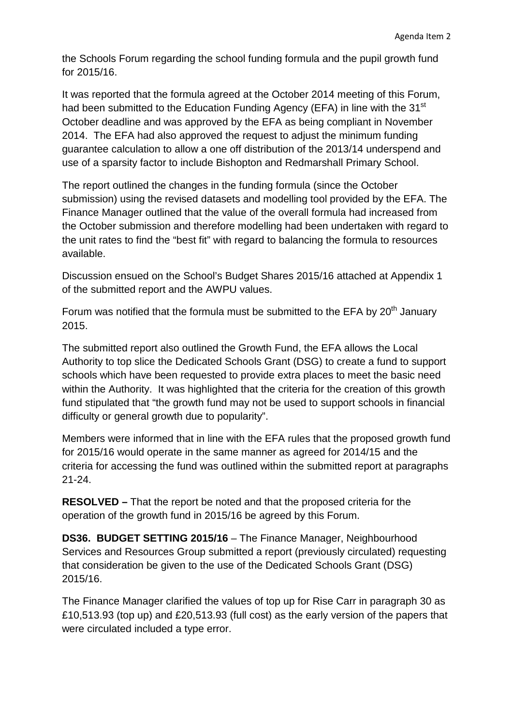the Schools Forum regarding the school funding formula and the pupil growth fund for 2015/16.

It was reported that the formula agreed at the October 2014 meeting of this Forum, had been submitted to the Education Funding Agency (EFA) in line with the 31<sup>st</sup> October deadline and was approved by the EFA as being compliant in November 2014. The EFA had also approved the request to adjust the minimum funding guarantee calculation to allow a one off distribution of the 2013/14 underspend and use of a sparsity factor to include Bishopton and Redmarshall Primary School.

The report outlined the changes in the funding formula (since the October submission) using the revised datasets and modelling tool provided by the EFA. The Finance Manager outlined that the value of the overall formula had increased from the October submission and therefore modelling had been undertaken with regard to the unit rates to find the "best fit" with regard to balancing the formula to resources available.

Discussion ensued on the School's Budget Shares 2015/16 attached at Appendix 1 of the submitted report and the AWPU values.

Forum was notified that the formula must be submitted to the EFA by  $20<sup>th</sup>$  January 2015.

The submitted report also outlined the Growth Fund, the EFA allows the Local Authority to top slice the Dedicated Schools Grant (DSG) to create a fund to support schools which have been requested to provide extra places to meet the basic need within the Authority. It was highlighted that the criteria for the creation of this growth fund stipulated that "the growth fund may not be used to support schools in financial difficulty or general growth due to popularity".

Members were informed that in line with the EFA rules that the proposed growth fund for 2015/16 would operate in the same manner as agreed for 2014/15 and the criteria for accessing the fund was outlined within the submitted report at paragraphs 21-24.

**RESOLVED –** That the report be noted and that the proposed criteria for the operation of the growth fund in 2015/16 be agreed by this Forum.

**DS36. BUDGET SETTING 2015/16** – The Finance Manager, Neighbourhood Services and Resources Group submitted a report (previously circulated) requesting that consideration be given to the use of the Dedicated Schools Grant (DSG) 2015/16.

The Finance Manager clarified the values of top up for Rise Carr in paragraph 30 as £10,513.93 (top up) and £20,513.93 (full cost) as the early version of the papers that were circulated included a type error.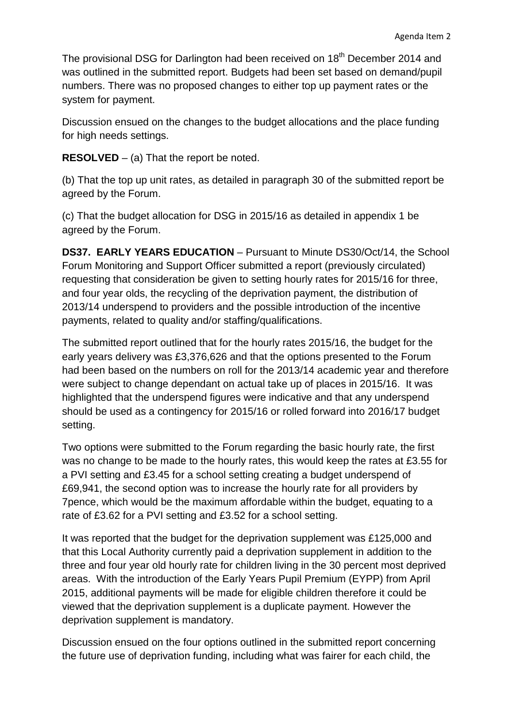The provisional DSG for Darlington had been received on 18<sup>th</sup> December 2014 and was outlined in the submitted report. Budgets had been set based on demand/pupil numbers. There was no proposed changes to either top up payment rates or the system for payment.

Discussion ensued on the changes to the budget allocations and the place funding for high needs settings.

**RESOLVED** – (a) That the report be noted.

(b) That the top up unit rates, as detailed in paragraph 30 of the submitted report be agreed by the Forum.

(c) That the budget allocation for DSG in 2015/16 as detailed in appendix 1 be agreed by the Forum.

**DS37. EARLY YEARS EDUCATION** – Pursuant to Minute DS30/Oct/14, the School Forum Monitoring and Support Officer submitted a report (previously circulated) requesting that consideration be given to setting hourly rates for 2015/16 for three, and four year olds, the recycling of the deprivation payment, the distribution of 2013/14 underspend to providers and the possible introduction of the incentive payments, related to quality and/or staffing/qualifications.

The submitted report outlined that for the hourly rates 2015/16, the budget for the early years delivery was £3,376,626 and that the options presented to the Forum had been based on the numbers on roll for the 2013/14 academic year and therefore were subject to change dependant on actual take up of places in 2015/16. It was highlighted that the underspend figures were indicative and that any underspend should be used as a contingency for 2015/16 or rolled forward into 2016/17 budget setting.

Two options were submitted to the Forum regarding the basic hourly rate, the first was no change to be made to the hourly rates, this would keep the rates at £3.55 for a PVI setting and £3.45 for a school setting creating a budget underspend of £69,941, the second option was to increase the hourly rate for all providers by 7pence, which would be the maximum affordable within the budget, equating to a rate of £3.62 for a PVI setting and £3.52 for a school setting.

It was reported that the budget for the deprivation supplement was £125,000 and that this Local Authority currently paid a deprivation supplement in addition to the three and four year old hourly rate for children living in the 30 percent most deprived areas. With the introduction of the Early Years Pupil Premium (EYPP) from April 2015, additional payments will be made for eligible children therefore it could be viewed that the deprivation supplement is a duplicate payment. However the deprivation supplement is mandatory.

Discussion ensued on the four options outlined in the submitted report concerning the future use of deprivation funding, including what was fairer for each child, the